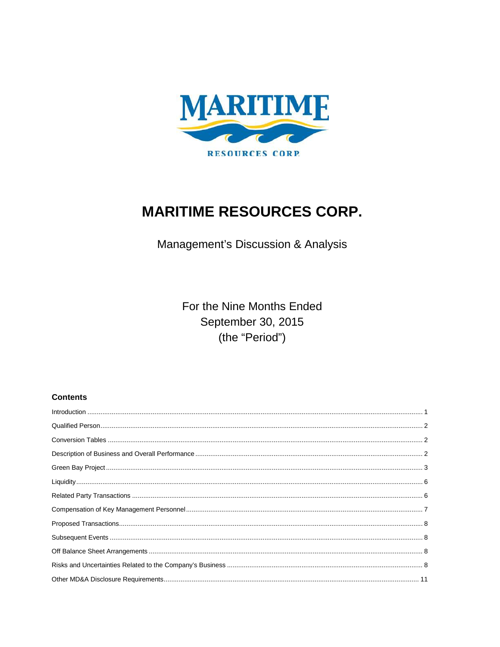

# **MARITIME RESOURCES CORP.**

Management's Discussion & Analysis

For the Nine Months Ended September 30, 2015 (the "Period")

# **Contents**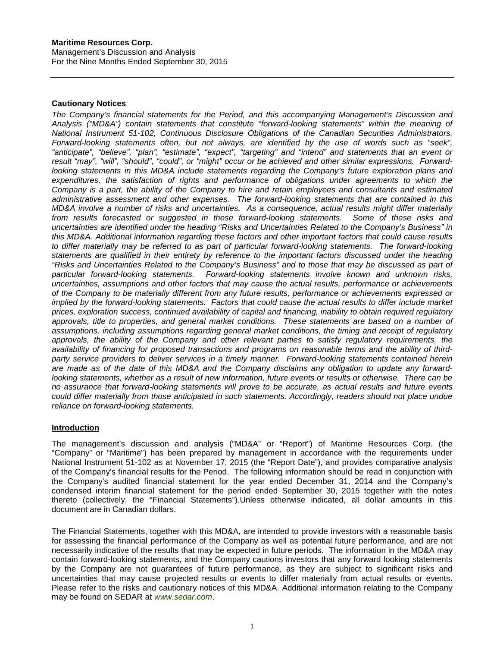# **Cautionary Notices**

*The Company's financial statements for the Period, and this accompanying Management's Discussion and Analysis ("MD&A") contain statements that constitute "forward-looking statements" within the meaning of National Instrument 51-102, Continuous Disclosure Obligations of the Canadian Securities Administrators. Forward-looking statements often, but not always, are identified by the use of words such as "seek", "anticipate", "believe", "plan", "estimate", "expect", "targeting" and "intend" and statements that an event or*  result "may", "will", "should", "could", or "might" occur or be achieved and other similar expressions. Forward*looking statements in this MD&A include statements regarding the Company's future exploration plans and expenditures, the satisfaction of rights and performance of obligations under agreements to which the Company is a part, the ability of the Company to hire and retain employees and consultants and estimated administrative assessment and other expenses. The forward-looking statements that are contained in this MD&A involve a number of risks and uncertainties. As a consequence, actual results might differ materially from results forecasted or suggested in these forward-looking statements. Some of these risks and uncertainties are identified under the heading "Risks and Uncertainties Related to the Company's Business" in this MD&A. Additional information regarding these factors and other important factors that could cause results to differ materially may be referred to as part of particular forward-looking statements. The forward-looking statements are qualified in their entirety by reference to the important factors discussed under the heading "Risks and Uncertainties Related to the Company's Business" and to those that may be discussed as part of particular forward-looking statements. Forward-looking statements involve known and unknown risks, uncertainties, assumptions and other factors that may cause the actual results, performance or achievements of the Company to be materially different from any future results, performance or achievements expressed or implied by the forward-looking statements. Factors that could cause the actual results to differ include market prices, exploration success, continued availability of capital and financing, inability to obtain required regulatory approvals, title to properties, and general market conditions. These statements are based on a number of assumptions, including assumptions regarding general market conditions, the timing and receipt of regulatory approvals, the ability of the Company and other relevant parties to satisfy regulatory requirements, the availability of financing for proposed transactions and programs on reasonable terms and the ability of thirdparty service providers to deliver services in a timely manner. Forward-looking statements contained herein are made as of the date of this MD&A and the Company disclaims any obligation to update any forwardlooking statements, whether as a result of new information, future events or results or otherwise. There can be no assurance that forward-looking statements will prove to be accurate, as actual results and future events could differ materially from those anticipated in such statements. Accordingly, readers should not place undue reliance on forward-looking statements.*

# <span id="page-1-0"></span>**Introduction**

The management's discussion and analysis ("MD&A" or "Report") of Maritime Resources Corp. (the "Company" or "Maritime") has been prepared by management in accordance with the requirements under National Instrument 51-102 as at November 17, 2015 (the "Report Date"), and provides comparative analysis of the Company's financial results for the Period. The following information should be read in conjunction with the Company's audited financial statement for the year ended December 31, 2014 and the Company's condensed interim financial statement for the period ended September 30, 2015 together with the notes thereto (collectively, the "Financial Statements").Unless otherwise indicated, all dollar amounts in this document are in Canadian dollars.

The Financial Statements, together with this MD&A, are intended to provide investors with a reasonable basis for assessing the financial performance of the Company as well as potential future performance, and are not necessarily indicative of the results that may be expected in future periods. The information in the MD&A may contain forward-looking statements, and the Company cautions investors that any forward looking statements by the Company are not guarantees of future performance, as they are subject to significant risks and uncertainties that may cause projected results or events to differ materially from actual results or events. Please refer to the risks and cautionary notices of this MD&A. Additional information relating to the Company may be found on SEDAR at *[www.sedar.com](http://www.sedar.com/)*.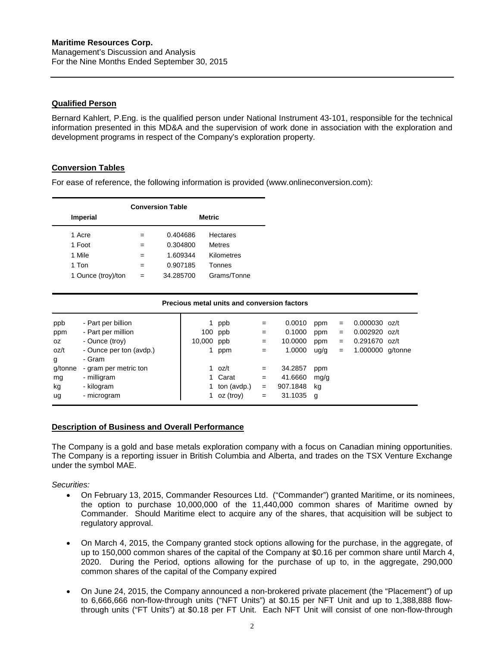# <span id="page-2-0"></span>**Qualified Person**

Bernard Kahlert, P.Eng. is the qualified person under National Instrument 43-101, responsible for the technical information presented in this MD&A and the supervision of work done in association with the exploration and development programs in respect of the Company's exploration property.

# <span id="page-2-1"></span>**Conversion Tables**

For ease of reference, the following information is provided (www.onlineconversion.com):

| <b>Conversion Table</b> |               |           |                 |  |  |  |  |  |  |
|-------------------------|---------------|-----------|-----------------|--|--|--|--|--|--|
| <b>Imperial</b>         | <b>Metric</b> |           |                 |  |  |  |  |  |  |
| 1 Acre                  | $=$           | 0.404686  | <b>Hectares</b> |  |  |  |  |  |  |
| 1 Foot                  | $=$           | 0.304800  | <b>Metres</b>   |  |  |  |  |  |  |
| 1 Mile                  | $=$           | 1.609344  | Kilometres      |  |  |  |  |  |  |
| 1 Ton                   | $=$           | 0.907185  | Tonnes          |  |  |  |  |  |  |
| 1 Ounce (troy)/ton      | $=$           | 34.285700 | Grams/Tonne     |  |  |  |  |  |  |

#### **Precious metal units and conversion factors**

| ppb     | - Part per billion      |            | 1 ppb                  | $=$ | 0.0010    | ppm  | $=$ | $0.000030$ oz/t  |  |
|---------|-------------------------|------------|------------------------|-----|-----------|------|-----|------------------|--|
| ppm     | - Part per million      |            | $100$ ppb              | $=$ | 0.1000    | ppm  | $=$ | $0.002920$ oz/t  |  |
| OZ.     | - Ounce (troy)          | 10,000 ppb |                        | $=$ | 10.0000   | ppm  | $=$ | 0.291670 oz/t    |  |
| oz/t    | - Ounce per ton (avdp.) |            | ppm                    | $=$ | 1.0000    | uq/q | $=$ | 1.000000 g/tonne |  |
| g       | - Gram                  |            |                        |     |           |      |     |                  |  |
| g/tonne | - gram per metric ton   |            | 1 oz/t                 | $=$ | 34.2857   | ppm  |     |                  |  |
| mg      | - milligram             |            | 1 Carat                | $=$ | 41.6660   | mg/g |     |                  |  |
| kg      | - kilogram              |            | 1 ton $(\text{avdp.})$ | $=$ | 907.1848  | ka   |     |                  |  |
| ug      | - microgram             |            | 1 oz (troy)            | $=$ | 31.1035 g |      |     |                  |  |
|         |                         |            |                        |     |           |      |     |                  |  |

# <span id="page-2-2"></span>**Description of Business and Overall Performance**

The Company is a gold and base metals exploration company with a focus on Canadian mining opportunities. The Company is a reporting issuer in British Columbia and Alberta, and trades on the TSX Venture Exchange under the symbol MAE.

*Securities:*

- On February 13, 2015, Commander Resources Ltd. ("Commander") granted Maritime, or its nominees, the option to purchase 10,000,000 of the 11,440,000 common shares of Maritime owned by Commander. Should Maritime elect to acquire any of the shares, that acquisition will be subject to regulatory approval.
- On March 4, 2015, the Company granted stock options allowing for the purchase, in the aggregate, of up to 150,000 common shares of the capital of the Company at \$0.16 per common share until March 4, 2020. During the Period, options allowing for the purchase of up to, in the aggregate, 290,000 common shares of the capital of the Company expired
- On June 24, 2015, the Company announced a non-brokered private placement (the "Placement") of up to 6,666,666 non-flow-through units ("NFT Units") at \$0.15 per NFT Unit and up to 1,388,888 flowthrough units ("FT Units") at \$0.18 per FT Unit. Each NFT Unit will consist of one non-flow-through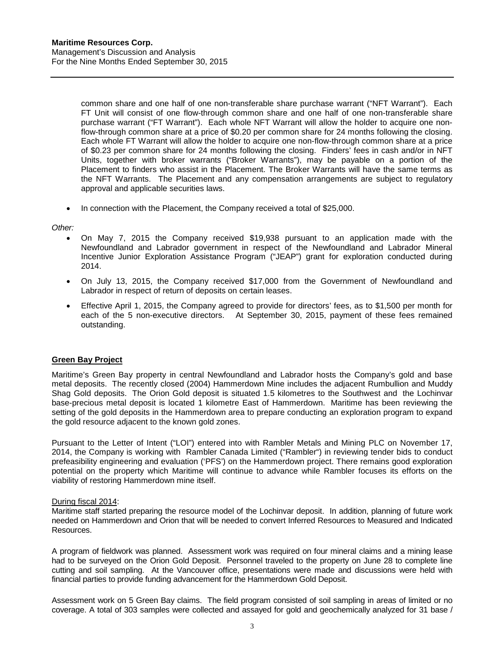common share and one half of one non-transferable share purchase warrant ("NFT Warrant"). Each FT Unit will consist of one flow-through common share and one half of one non-transferable share purchase warrant ("FT Warrant"). Each whole NFT Warrant will allow the holder to acquire one nonflow-through common share at a price of \$0.20 per common share for 24 months following the closing. Each whole FT Warrant will allow the holder to acquire one non-flow-through common share at a price of \$0.23 per common share for 24 months following the closing. Finders' fees in cash and/or in NFT Units, together with broker warrants ("Broker Warrants"), may be payable on a portion of the Placement to finders who assist in the Placement. The Broker Warrants will have the same terms as the NFT Warrants. The Placement and any compensation arrangements are subject to regulatory approval and applicable securities laws.

• In connection with the Placement, the Company received a total of \$25,000.

*Other:*

- On May 7, 2015 the Company received \$19,938 pursuant to an application made with the Newfoundland and Labrador government in respect of the Newfoundland and Labrador Mineral Incentive Junior Exploration Assistance Program ("JEAP") grant for exploration conducted during 2014.
- On July 13, 2015, the Company received \$17,000 from the Government of Newfoundland and Labrador in respect of return of deposits on certain leases.
- Effective April 1, 2015, the Company agreed to provide for directors' fees, as to \$1,500 per month for each of the 5 non-executive directors. At September 30, 2015, payment of these fees remained outstanding.

# <span id="page-3-0"></span>**Green Bay Project**

Maritime's Green Bay property in central Newfoundland and Labrador hosts the Company's gold and base metal deposits. The recently closed (2004) Hammerdown Mine includes the adjacent Rumbullion and Muddy Shag Gold deposits. The Orion Gold deposit is situated 1.5 kilometres to the Southwest and the Lochinvar base-precious metal deposit is located 1 kilometre East of Hammerdown. Maritime has been reviewing the setting of the gold deposits in the Hammerdown area to prepare conducting an exploration program to expand the gold resource adjacent to the known gold zones.

Pursuant to the Letter of Intent ("LOI") entered into with Rambler Metals and Mining PLC on November 17, 2014, the Company is working with Rambler Canada Limited ("Rambler") in reviewing tender bids to conduct prefeasibility engineering and evaluation ('PFS') on the Hammerdown project. There remains good exploration potential on the property which Maritime will continue to advance while Rambler focuses its efforts on the viability of restoring Hammerdown mine itself.

#### During fiscal 2014:

Maritime staff started preparing the resource model of the Lochinvar deposit. In addition, planning of future work needed on Hammerdown and Orion that will be needed to convert Inferred Resources to Measured and Indicated Resources.

A program of fieldwork was planned. Assessment work was required on four mineral claims and a mining lease had to be surveyed on the Orion Gold Deposit. Personnel traveled to the property on June 28 to complete line cutting and soil sampling. At the Vancouver office, presentations were made and discussions were held with financial parties to provide funding advancement for the Hammerdown Gold Deposit.

Assessment work on 5 Green Bay claims. The field program consisted of soil sampling in areas of limited or no coverage. A total of 303 samples were collected and assayed for gold and geochemically analyzed for 31 base /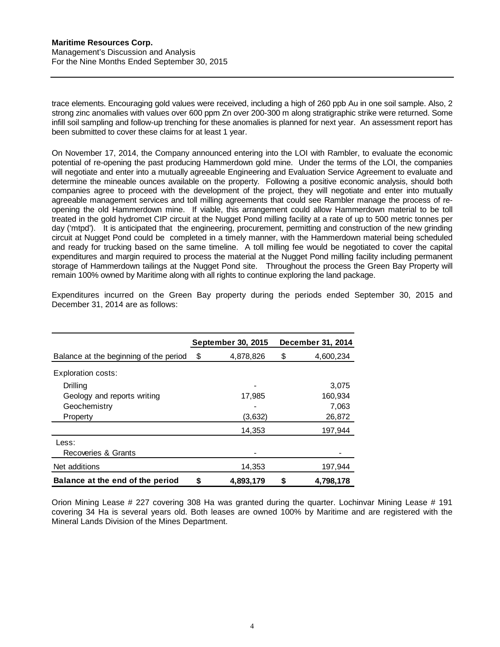trace elements. Encouraging gold values were received, including a high of 260 ppb Au in one soil sample. Also, 2 strong zinc anomalies with values over 600 ppm Zn over 200-300 m along stratigraphic strike were returned. Some infill soil sampling and follow-up trenching for these anomalies is planned for next year. An assessment report has been submitted to cover these claims for at least 1 year.

On November 17, 2014, the Company announced entering into the LOI with Rambler, to evaluate the economic potential of re-opening the past producing Hammerdown gold mine. Under the terms of the LOI, the companies will negotiate and enter into a mutually agreeable Engineering and Evaluation Service Agreement to evaluate and determine the mineable ounces available on the property. Following a positive economic analysis, should both companies agree to proceed with the development of the project, they will negotiate and enter into mutually agreeable management services and toll milling agreements that could see Rambler manage the process of reopening the old Hammerdown mine. If viable, this arrangement could allow Hammerdown material to be toll treated in the gold hydromet CIP circuit at the Nugget Pond milling facility at a rate of up to 500 metric tonnes per day ('mtpd'). It is anticipated that the engineering, procurement, permitting and construction of the new grinding circuit at Nugget Pond could be completed in a timely manner, with the Hammerdown material being scheduled and ready for trucking based on the same timeline. A toll milling fee would be negotiated to cover the capital expenditures and margin required to process the material at the Nugget Pond milling facility including permanent storage of Hammerdown tailings at the Nugget Pond site. Throughout the process the Green Bay Property will remain 100% owned by Maritime along with all rights to continue exploring the land package.

|                                        |    | September 30, 2015 |   | December 31, 2014 |
|----------------------------------------|----|--------------------|---|-------------------|
| Balance at the beginning of the period | S  | 4,878,826          | S | 4,600,234         |
| Exploration costs:                     |    |                    |   |                   |
| Drilling                               |    |                    |   | 3,075             |
| Geology and reports writing            |    | 17,985             |   | 160,934           |
| Geochemistry                           |    |                    |   | 7,063             |
| Property                               |    | (3,632)            |   | 26,872            |
|                                        |    | 14,353             |   | 197,944           |
| Less:                                  |    |                    |   |                   |
| Recoveries & Grants                    |    |                    |   |                   |
| Net additions                          |    | 14,353             |   | 197,944           |
| Balance at the end of the period       | \$ | 4,893,179          | S | 4,798,178         |

Expenditures incurred on the Green Bay property during the periods ended September 30, 2015 and December 31, 2014 are as follows:

Orion Mining Lease # 227 covering 308 Ha was granted during the quarter. Lochinvar Mining Lease # 191 covering 34 Ha is several years old. Both leases are owned 100% by Maritime and are registered with the Mineral Lands Division of the Mines Department.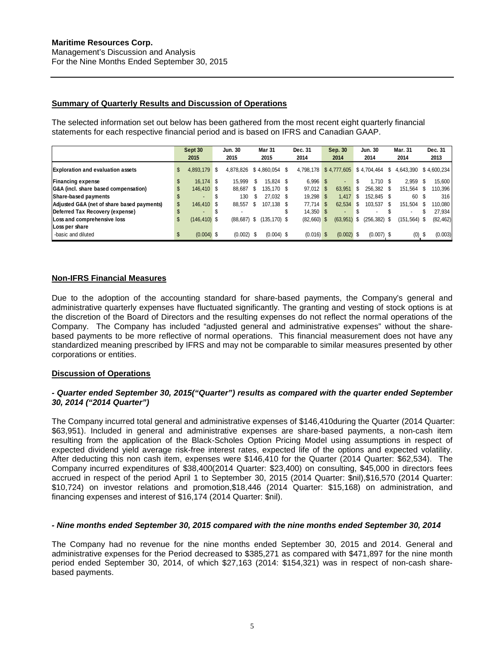# **Summary of Quarterly Results and Discussion of Operations**

The selected information set out below has been gathered from the most recent eight quarterly financial statements for each respective financial period and is based on IFRS and Canadian GAAP.

|                                            |    | Sept 30<br>2015          | Jun. 30<br>2015 |     | <b>Mar 31</b><br>2015 | Dec. 31<br>2014 |     | Sep. 30<br>2014 |      | <b>Jun. 30</b><br>2014   |      | Mar. 31<br>2014          |      | Dec. 31<br>2013 |
|--------------------------------------------|----|--------------------------|-----------------|-----|-----------------------|-----------------|-----|-----------------|------|--------------------------|------|--------------------------|------|-----------------|
| <b>Exploration and evaluation assets</b>   | \$ | 4.893.179 \$             | 4.878.826       |     | $$4.860.054$ \$       | 4.798.178       |     | \$4,777,605     |      | \$4,704,464              | S.   | 4,643,390 \$4,600,234    |      |                 |
| <b>Financing expense</b>                   | \$ | 16.174 \$                | 15.999          | S   | 15.824 \$             | $6.996$ \$      |     |                 | \$.  | $1.710$ \$               |      | 2.959                    | - \$ | 15,600          |
| G&A (incl. share based compensation)       |    | 146.410 \$               | 88.687 \$       |     | 135.170 \$            | $97,012$ \$     |     | 63.951          | \$.  | 256.382 \$               |      | 151,564                  | - \$ | 110.396         |
| Share-based payments                       |    |                          | 130             | \$  | 27.032 \$             | 19.298          | -S  | 1.417           | -S   | 152.845 \$               |      | 60                       | - \$ | 316             |
| Adjusted G&A (net of share based payments) |    | 146.410 \$               | 88.557          | \$. | 107.138 \$            | 77.714          | S   | 62.534          | \$.  | 103.537                  | - \$ | 151.504                  | -S   | 110.080         |
| Deferred Tax Recovery (expense)            |    | $\overline{\phantom{a}}$ |                 |     |                       | $14.350$ \$     |     |                 |      | $\overline{\phantom{a}}$ |      | $\overline{\phantom{a}}$ |      | 27,934          |
| Loss and comprehensive loss                | S  | $(146, 410)$ \$          | $(88, 687)$ \$  |     | $(135, 170)$ \$       | (82,660)        | \$. | (63, 951)       | - \$ | $(256, 382)$ \$          |      | $(151, 564)$ \$          |      | (82, 462)       |
| Loss per share                             |    |                          |                 |     |                       |                 |     |                 |      |                          |      |                          |      |                 |
| -basic and diluted                         | S  | $(0.004)$ \$             | $(0.002)$ \$    |     | $(0.004)$ \$          | $(0.016)$ \$    |     | $(0.002)$ \$    |      | $(0.007)$ \$             |      | (0)                      | - \$ | (0.003)         |

# **Non-IFRS Financial Measures**

Due to the adoption of the accounting standard for share-based payments, the Company's general and administrative quarterly expenses have fluctuated significantly. The granting and vesting of stock options is at the discretion of the Board of Directors and the resulting expenses do not reflect the normal operations of the Company. The Company has included "adjusted general and administrative expenses" without the sharebased payments to be more reflective of normal operations. This financial measurement does not have any standardized meaning prescribed by IFRS and may not be comparable to similar measures presented by other corporations or entities.

# **Discussion of Operations**

# *- Quarter ended September 30, 2015("Quarter") results as compared with the quarter ended September 30, 2014 ("2014 Quarter")*

The Company incurred total general and administrative expenses of \$146,410during the Quarter (2014 Quarter: \$63,951). Included in general and administrative expenses are share-based payments, a non-cash item resulting from the application of the Black-Scholes Option Pricing Model using assumptions in respect of expected dividend yield average risk-free interest rates, expected life of the options and expected volatility. After deducting this non cash item, expenses were \$146,410 for the Quarter (2014 Quarter: \$62,534). The Company incurred expenditures of \$38,400(2014 Quarter: \$23,400) on consulting, \$45,000 in directors fees accrued in respect of the period April 1 to September 30, 2015 (2014 Quarter: \$nil),\$16,570 (2014 Quarter: \$10,724) on investor relations and promotion,\$18,446 (2014 Quarter: \$15,168) on administration, and financing expenses and interest of \$16,174 (2014 Quarter: \$nil).

# *- Nine months ended September 30, 2015 compared with the nine months ended September 30, 2014*

The Company had no revenue for the nine months ended September 30, 2015 and 2014. General and administrative expenses for the Period decreased to \$385,271 as compared with \$471,897 for the nine month period ended September 30, 2014, of which \$27,163 (2014: \$154,321) was in respect of non-cash sharebased payments.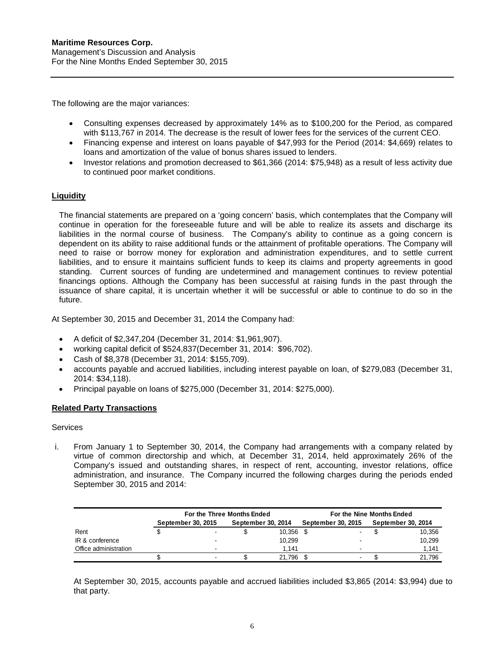The following are the major variances:

- Consulting expenses decreased by approximately 14% as to \$100,200 for the Period, as compared with \$113,767 in 2014. The decrease is the result of lower fees for the services of the current CEO.
- Financing expense and interest on loans payable of \$47,993 for the Period (2014: \$4,669) relates to loans and amortization of the value of bonus shares issued to lenders.
- Investor relations and promotion decreased to \$61,366 (2014: \$75,948) as a result of less activity due to continued poor market conditions.

# <span id="page-6-0"></span>**Liquidity**

The financial statements are prepared on a 'going concern' basis, which contemplates that the Company will continue in operation for the foreseeable future and will be able to realize its assets and discharge its liabilities in the normal course of business. The Company's ability to continue as a going concern is dependent on its ability to raise additional funds or the attainment of profitable operations. The Company will need to raise or borrow money for exploration and administration expenditures, and to settle current liabilities, and to ensure it maintains sufficient funds to keep its claims and property agreements in good standing. Current sources of funding are undetermined and management continues to review potential financings options. Although the Company has been successful at raising funds in the past through the issuance of share capital, it is uncertain whether it will be successful or able to continue to do so in the future.

At September 30, 2015 and December 31, 2014 the Company had:

- A deficit of \$2,347,204 (December 31, 2014: \$1,961,907).
- working capital deficit of \$524,837(December 31, 2014: \$96,702).
- Cash of \$8,378 (December 31, 2014: \$155,709).
- accounts payable and accrued liabilities, including interest payable on loan, of \$279,083 (December 31, 2014: \$34,118).
- Principal payable on loans of \$275,000 (December 31, 2014: \$275,000).

# <span id="page-6-1"></span>**Related Party Transactions**

# **Services**

i. From January 1 to September 30, 2014, the Company had arrangements with a company related by virtue of common directorship and which, at December 31, 2014, held approximately 26% of the Company's issued and outstanding shares, in respect of rent, accounting, investor relations, office administration, and insurance. The Company incurred the following charges during the periods ended September 30, 2015 and 2014:

|                       | For the Three Months Ended |                          |                    |        | For the Nine Months Ended |  |  |                    |  |  |
|-----------------------|----------------------------|--------------------------|--------------------|--------|---------------------------|--|--|--------------------|--|--|
|                       |                            | September 30, 2015       | September 30, 2014 |        | <b>September 30, 2015</b> |  |  | September 30, 2014 |  |  |
| Rent                  |                            |                          |                    | 10,356 |                           |  |  | 10,356             |  |  |
| IR & conference       |                            | $\overline{\phantom{0}}$ |                    | 10,299 |                           |  |  | 10.299             |  |  |
| Office administration |                            |                          |                    | 1.141  |                           |  |  | 1,141              |  |  |
|                       |                            |                          |                    | 21.796 |                           |  |  | 21.796             |  |  |

At September 30, 2015, accounts payable and accrued liabilities included \$3,865 (2014: \$3,994) due to that party.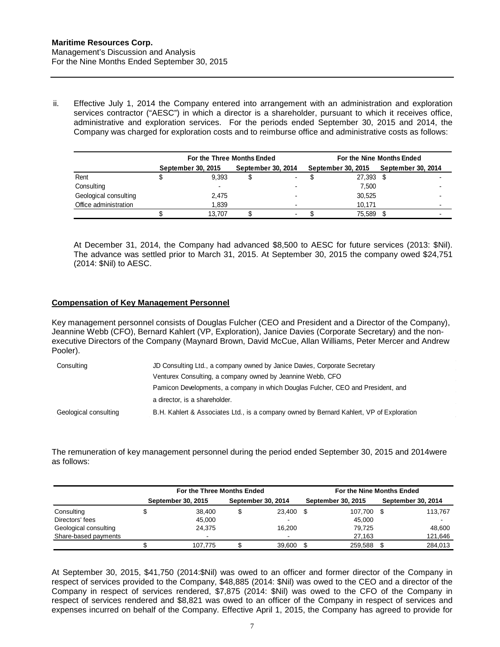ii. Effective July 1, 2014 the Company entered into arrangement with an administration and exploration services contractor ("AESC") in which a director is a shareholder, pursuant to which it receives office, administrative and exploration services. For the periods ended September 30, 2015 and 2014, the Company was charged for exploration costs and to reimburse office and administrative costs as follows:

|                       | For the Three Months Ended |                    |  |                    | For the Nine Months Ended |                           |  |                           |  |  |
|-----------------------|----------------------------|--------------------|--|--------------------|---------------------------|---------------------------|--|---------------------------|--|--|
|                       |                            | September 30, 2015 |  | September 30, 2014 |                           | <b>September 30, 2015</b> |  | <b>September 30, 2014</b> |  |  |
| Rent                  |                            | 9.393              |  | ۰.                 |                           | 27,393                    |  |                           |  |  |
| Consulting            |                            |                    |  |                    |                           | 7.500                     |  |                           |  |  |
| Geological consulting |                            | 2.475              |  |                    |                           | 30,525                    |  |                           |  |  |
| Office administration |                            | 1.839              |  |                    |                           | 10.171                    |  | $\blacksquare$            |  |  |
|                       |                            | 13.707             |  |                    |                           | 75,589                    |  |                           |  |  |

At December 31, 2014, the Company had advanced \$8,500 to AESC for future services (2013: \$Nil). The advance was settled prior to March 31, 2015. At September 30, 2015 the company owed \$24,751 (2014: \$Nil) to AESC.

# <span id="page-7-0"></span>**Compensation of Key Management Personnel**

Key management personnel consists of Douglas Fulcher (CEO and President and a Director of the Company), Jeannine Webb (CFO), Bernard Kahlert (VP, Exploration), Janice Davies (Corporate Secretary) and the nonexecutive Directors of the Company (Maynard Brown, David McCue, Allan Williams, Peter Mercer and Andrew Pooler).

| Consulting            | JD Consulting Ltd., a company owned by Janice Davies, Corporate Secretary                |  |  |  |  |  |
|-----------------------|------------------------------------------------------------------------------------------|--|--|--|--|--|
|                       | Venturex Consulting, a company owned by Jeannine Webb, CFO                               |  |  |  |  |  |
|                       | Pamicon Developments, a company in which Douglas Fulcher, CEO and President, and         |  |  |  |  |  |
|                       | a director, is a shareholder.                                                            |  |  |  |  |  |
| Geological consulting | B.H. Kahlert & Associates Ltd., is a company owned by Bernard Kahlert, VP of Exploration |  |  |  |  |  |

The remuneration of key management personnel during the period ended September 30, 2015 and 2014were as follows:

|                       | For the Three Months Ended |                    |  |                    | For the Nine Months Ended |                    |  |                          |  |  |  |
|-----------------------|----------------------------|--------------------|--|--------------------|---------------------------|--------------------|--|--------------------------|--|--|--|
|                       |                            | September 30, 2015 |  | September 30, 2014 |                           | September 30, 2015 |  | September 30, 2014       |  |  |  |
| Consulting            |                            | 38.400             |  | 23,400             |                           | 107.700            |  | 113,767                  |  |  |  |
| Directors' fees       |                            | 45.000             |  |                    |                           | 45,000             |  | $\overline{\phantom{a}}$ |  |  |  |
| Geological consulting |                            | 24.375             |  | 16.200             |                           | 79.725             |  | 48.600                   |  |  |  |
| Share-based payments  |                            |                    |  | -                  |                           | 27.163             |  | 121,646                  |  |  |  |
|                       |                            | 107.775            |  | 39.600             |                           | 259.588            |  | 284.013                  |  |  |  |

At September 30, 2015, \$41,750 (2014:\$Nil) was owed to an officer and former director of the Company in respect of services provided to the Company, \$48,885 (2014: \$Nil) was owed to the CEO and a director of the Company in respect of services rendered, \$7,875 (2014: \$Nil) was owed to the CFO of the Company in respect of services rendered and \$8,821 was owed to an officer of the Company in respect of services and expenses incurred on behalf of the Company. Effective April 1, 2015, the Company has agreed to provide for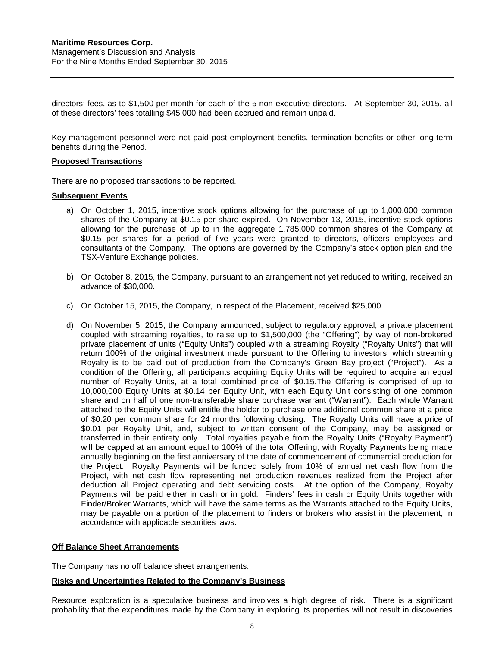directors' fees, as to \$1,500 per month for each of the 5 non-executive directors. At September 30, 2015, all of these directors' fees totalling \$45,000 had been accrued and remain unpaid.

Key management personnel were not paid post-employment benefits, termination benefits or other long-term benefits during the Period.

## <span id="page-8-0"></span>**Proposed Transactions**

There are no proposed transactions to be reported.

#### <span id="page-8-1"></span>**Subsequent Events**

- a) On October 1, 2015, incentive stock options allowing for the purchase of up to 1,000,000 common shares of the Company at \$0.15 per share expired. On November 13, 2015, incentive stock options allowing for the purchase of up to in the aggregate 1,785,000 common shares of the Company at \$0.15 per shares for a period of five years were granted to directors, officers employees and consultants of the Company. The options are governed by the Company's stock option plan and the TSX-Venture Exchange policies.
- b) On October 8, 2015, the Company, pursuant to an arrangement not yet reduced to writing, received an advance of \$30,000.
- c) On October 15, 2015, the Company, in respect of the Placement, received \$25,000.
- d) On November 5, 2015, the Company announced, subject to regulatory approval, a private placement coupled with streaming royalties, to raise up to \$1,500,000 (the "Offering") by way of non-brokered private placement of units ("Equity Units") coupled with a streaming Royalty ("Royalty Units") that will return 100% of the original investment made pursuant to the Offering to investors, which streaming Royalty is to be paid out of production from the Company's Green Bay project ("Project"). As a condition of the Offering, all participants acquiring Equity Units will be required to acquire an equal number of Royalty Units, at a total combined price of \$0.15.The Offering is comprised of up to 10,000,000 Equity Units at \$0.14 per Equity Unit, with each Equity Unit consisting of one common share and on half of one non-transferable share purchase warrant ("Warrant"). Each whole Warrant attached to the Equity Units will entitle the holder to purchase one additional common share at a price of \$0.20 per common share for 24 months following closing. The Royalty Units will have a price of \$0.01 per Royalty Unit, and, subject to written consent of the Company, may be assigned or transferred in their entirety only. Total royalties payable from the Royalty Units ("Royalty Payment") will be capped at an amount equal to 100% of the total Offering, with Royalty Payments being made annually beginning on the first anniversary of the date of commencement of commercial production for the Project. Royalty Payments will be funded solely from 10% of annual net cash flow from the Project, with net cash flow representing net production revenues realized from the Project after deduction all Project operating and debt servicing costs. At the option of the Company, Royalty Payments will be paid either in cash or in gold. Finders' fees in cash or Equity Units together with Finder/Broker Warrants, which will have the same terms as the Warrants attached to the Equity Units, may be payable on a portion of the placement to finders or brokers who assist in the placement, in accordance with applicable securities laws.

#### <span id="page-8-2"></span>**Off Balance Sheet Arrangements**

The Company has no off balance sheet arrangements.

# <span id="page-8-3"></span>**Risks and Uncertainties Related to the Company's Business**

Resource exploration is a speculative business and involves a high degree of risk. There is a significant probability that the expenditures made by the Company in exploring its properties will not result in discoveries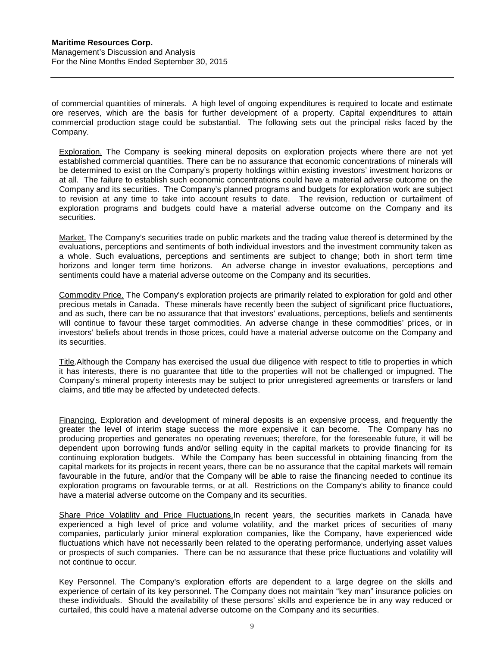of commercial quantities of minerals. A high level of ongoing expenditures is required to locate and estimate ore reserves, which are the basis for further development of a property. Capital expenditures to attain commercial production stage could be substantial. The following sets out the principal risks faced by the Company.

Exploration. The Company is seeking mineral deposits on exploration projects where there are not yet established commercial quantities. There can be no assurance that economic concentrations of minerals will be determined to exist on the Company's property holdings within existing investors' investment horizons or at all. The failure to establish such economic concentrations could have a material adverse outcome on the Company and its securities. The Company's planned programs and budgets for exploration work are subject to revision at any time to take into account results to date. The revision, reduction or curtailment of exploration programs and budgets could have a material adverse outcome on the Company and its securities.

Market. The Company's securities trade on public markets and the trading value thereof is determined by the evaluations, perceptions and sentiments of both individual investors and the investment community taken as a whole. Such evaluations, perceptions and sentiments are subject to change; both in short term time horizons and longer term time horizons. An adverse change in investor evaluations, perceptions and sentiments could have a material adverse outcome on the Company and its securities.

Commodity Price. The Company's exploration projects are primarily related to exploration for gold and other precious metals in Canada. These minerals have recently been the subject of significant price fluctuations, and as such, there can be no assurance that that investors' evaluations, perceptions, beliefs and sentiments will continue to favour these target commodities. An adverse change in these commodities' prices, or in investors' beliefs about trends in those prices, could have a material adverse outcome on the Company and its securities.

Title.Although the Company has exercised the usual due diligence with respect to title to properties in which it has interests, there is no guarantee that title to the properties will not be challenged or impugned. The Company's mineral property interests may be subject to prior unregistered agreements or transfers or land claims, and title may be affected by undetected defects.

Financing. Exploration and development of mineral deposits is an expensive process, and frequently the greater the level of interim stage success the more expensive it can become. The Company has no producing properties and generates no operating revenues; therefore, for the foreseeable future, it will be dependent upon borrowing funds and/or selling equity in the capital markets to provide financing for its continuing exploration budgets. While the Company has been successful in obtaining financing from the capital markets for its projects in recent years, there can be no assurance that the capital markets will remain favourable in the future, and/or that the Company will be able to raise the financing needed to continue its exploration programs on favourable terms, or at all. Restrictions on the Company's ability to finance could have a material adverse outcome on the Company and its securities.

Share Price Volatility and Price Fluctuations.In recent years, the securities markets in Canada have experienced a high level of price and volume volatility, and the market prices of securities of many companies, particularly junior mineral exploration companies, like the Company, have experienced wide fluctuations which have not necessarily been related to the operating performance, underlying asset values or prospects of such companies. There can be no assurance that these price fluctuations and volatility will not continue to occur.

Key Personnel. The Company's exploration efforts are dependent to a large degree on the skills and experience of certain of its key personnel. The Company does not maintain "key man" insurance policies on these individuals. Should the availability of these persons' skills and experience be in any way reduced or curtailed, this could have a material adverse outcome on the Company and its securities.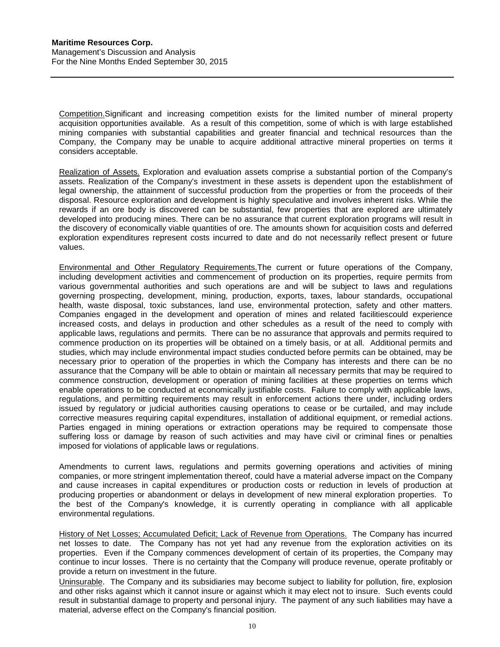Competition.Significant and increasing competition exists for the limited number of mineral property acquisition opportunities available. As a result of this competition, some of which is with large established mining companies with substantial capabilities and greater financial and technical resources than the Company, the Company may be unable to acquire additional attractive mineral properties on terms it considers acceptable.

Realization of Assets. Exploration and evaluation assets comprise a substantial portion of the Company's assets. Realization of the Company's investment in these assets is dependent upon the establishment of legal ownership, the attainment of successful production from the properties or from the proceeds of their disposal. Resource exploration and development is highly speculative and involves inherent risks. While the rewards if an ore body is discovered can be substantial, few properties that are explored are ultimately developed into producing mines. There can be no assurance that current exploration programs will result in the discovery of economically viable quantities of ore. The amounts shown for acquisition costs and deferred exploration expenditures represent costs incurred to date and do not necessarily reflect present or future values.

Environmental and Other Regulatory Requirements.The current or future operations of the Company, including development activities and commencement of production on its properties, require permits from various governmental authorities and such operations are and will be subject to laws and regulations governing prospecting, development, mining, production, exports, taxes, labour standards, occupational health, waste disposal, toxic substances, land use, environmental protection, safety and other matters. Companies engaged in the development and operation of mines and related facilitiescould experience increased costs, and delays in production and other schedules as a result of the need to comply with applicable laws, regulations and permits. There can be no assurance that approvals and permits required to commence production on its properties will be obtained on a timely basis, or at all. Additional permits and studies, which may include environmental impact studies conducted before permits can be obtained, may be necessary prior to operation of the properties in which the Company has interests and there can be no assurance that the Company will be able to obtain or maintain all necessary permits that may be required to commence construction, development or operation of mining facilities at these properties on terms which enable operations to be conducted at economically justifiable costs. Failure to comply with applicable laws, regulations, and permitting requirements may result in enforcement actions there under, including orders issued by regulatory or judicial authorities causing operations to cease or be curtailed, and may include corrective measures requiring capital expenditures, installation of additional equipment, or remedial actions. Parties engaged in mining operations or extraction operations may be required to compensate those suffering loss or damage by reason of such activities and may have civil or criminal fines or penalties imposed for violations of applicable laws or regulations.

Amendments to current laws, regulations and permits governing operations and activities of mining companies, or more stringent implementation thereof, could have a material adverse impact on the Company and cause increases in capital expenditures or production costs or reduction in levels of production at producing properties or abandonment or delays in development of new mineral exploration properties. To the best of the Company's knowledge, it is currently operating in compliance with all applicable environmental regulations.

History of Net Losses; Accumulated Deficit; Lack of Revenue from Operations. The Company has incurred net losses to date. The Company has not yet had any revenue from the exploration activities on its properties. Even if the Company commences development of certain of its properties, the Company may continue to incur losses. There is no certainty that the Company will produce revenue, operate profitably or provide a return on investment in the future.

Uninsurable. The Company and its subsidiaries may become subject to liability for pollution, fire, explosion and other risks against which it cannot insure or against which it may elect not to insure. Such events could result in substantial damage to property and personal injury. The payment of any such liabilities may have a material, adverse effect on the Company's financial position.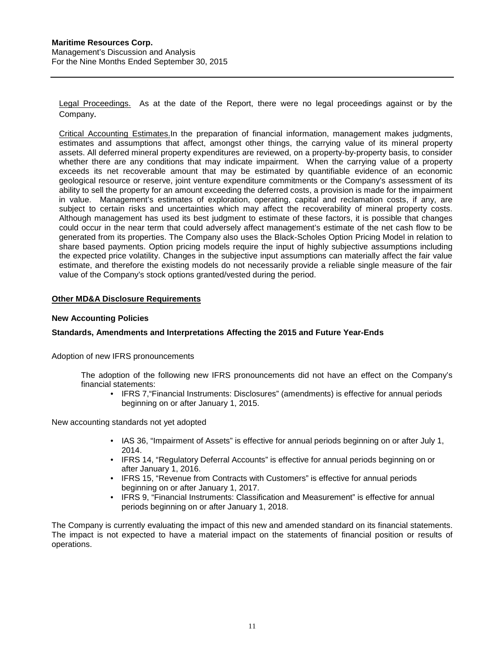Legal Proceedings. As at the date of the Report, there were no legal proceedings against or by the Company.

Critical Accounting Estimates.In the preparation of financial information, management makes judgments, estimates and assumptions that affect, amongst other things, the carrying value of its mineral property assets. All deferred mineral property expenditures are reviewed, on a property-by-property basis, to consider whether there are any conditions that may indicate impairment. When the carrying value of a property exceeds its net recoverable amount that may be estimated by quantifiable evidence of an economic geological resource or reserve, joint venture expenditure commitments or the Company's assessment of its ability to sell the property for an amount exceeding the deferred costs, a provision is made for the impairment in value. Management's estimates of exploration, operating, capital and reclamation costs, if any, are subject to certain risks and uncertainties which may affect the recoverability of mineral property costs. Although management has used its best judgment to estimate of these factors, it is possible that changes could occur in the near term that could adversely affect management's estimate of the net cash flow to be generated from its properties. The Company also uses the Black-Scholes Option Pricing Model in relation to share based payments. Option pricing models require the input of highly subjective assumptions including the expected price volatility. Changes in the subjective input assumptions can materially affect the fair value estimate, and therefore the existing models do not necessarily provide a reliable single measure of the fair value of the Company's stock options granted/vested during the period.

# <span id="page-11-0"></span>**Other MD&A Disclosure Requirements**

#### **New Accounting Policies**

# **Standards, Amendments and Interpretations Affecting the 2015 and Future Year-Ends**

#### Adoption of new IFRS pronouncements

The adoption of the following new IFRS pronouncements did not have an effect on the Company's financial statements:

• IFRS 7,"Financial Instruments: Disclosures" (amendments) is effective for annual periods beginning on or after January 1, 2015.

New accounting standards not yet adopted

- IAS 36, "Impairment of Assets" is effective for annual periods beginning on or after July 1, 2014.
- IFRS 14, "Regulatory Deferral Accounts" is effective for annual periods beginning on or after January 1, 2016.
- IFRS 15, "Revenue from Contracts with Customers" is effective for annual periods beginning on or after January 1, 2017.
- IFRS 9, "Financial Instruments: Classification and Measurement" is effective for annual periods beginning on or after January 1, 2018.

The Company is currently evaluating the impact of this new and amended standard on its financial statements. The impact is not expected to have a material impact on the statements of financial position or results of operations.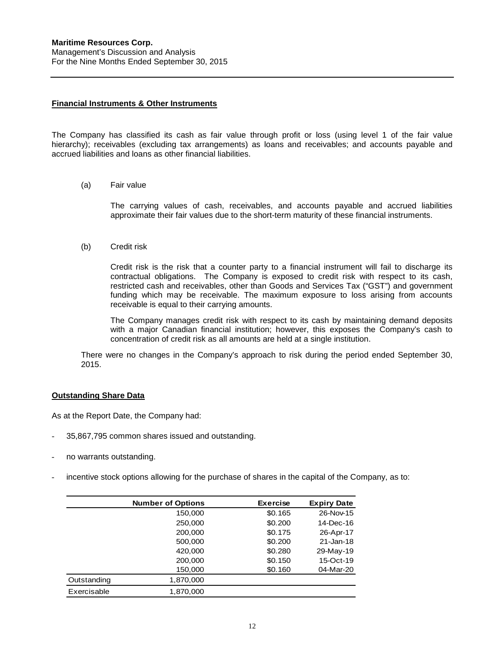## **Financial Instruments & Other Instruments**

The Company has classified its cash as fair value through profit or loss (using level 1 of the fair value hierarchy); receivables (excluding tax arrangements) as loans and receivables; and accounts payable and accrued liabilities and loans as other financial liabilities.

#### (a) Fair value

The carrying values of cash, receivables, and accounts payable and accrued liabilities approximate their fair values due to the short-term maturity of these financial instruments.

(b) Credit risk

Credit risk is the risk that a counter party to a financial instrument will fail to discharge its contractual obligations. The Company is exposed to credit risk with respect to its cash, restricted cash and receivables, other than Goods and Services Tax ("GST") and government funding which may be receivable. The maximum exposure to loss arising from accounts receivable is equal to their carrying amounts.

The Company manages credit risk with respect to its cash by maintaining demand deposits with a major Canadian financial institution; however, this exposes the Company's cash to concentration of credit risk as all amounts are held at a single institution.

There were no changes in the Company's approach to risk during the period ended September 30, 2015.

## **Outstanding Share Data**

As at the Report Date, the Company had:

- 35,867,795 common shares issued and outstanding.
- no warrants outstanding.
- incentive stock options allowing for the purchase of shares in the capital of the Company, as to:

|             | <b>Number of Options</b> | <b>Exercise</b> | <b>Expiry Date</b> |
|-------------|--------------------------|-----------------|--------------------|
|             | 150,000                  | \$0.165         | 26-Nov-15          |
|             | 250,000                  | \$0.200         | 14-Dec-16          |
|             | 200,000                  | \$0.175         | 26-Apr-17          |
|             | 500,000                  | \$0,200         | $21 - Jan-18$      |
|             | 420,000                  | \$0.280         | 29-May-19          |
|             | 200,000                  | \$0.150         | 15-Oct-19          |
|             | 150,000                  | \$0.160         | 04-Mar-20          |
| Outstanding | 1,870,000                |                 |                    |
| Exercisable | 1,870,000                |                 |                    |